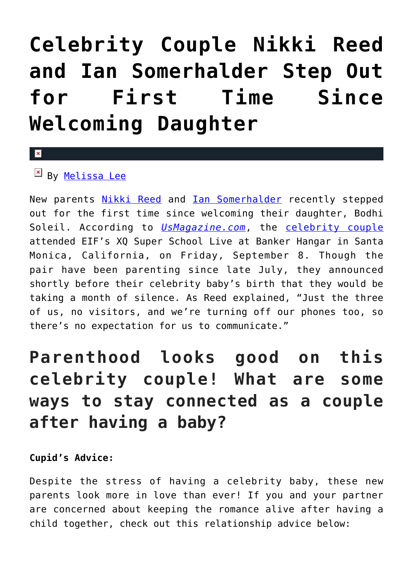# **[Celebrity Couple Nikki Reed](https://cupidspulse.com/120703/celebrity-couple-nikki-reed-ian-somerhalder-step-out-for-first-time-since-baby/) [and Ian Somerhalder Step Out](https://cupidspulse.com/120703/celebrity-couple-nikki-reed-ian-somerhalder-step-out-for-first-time-since-baby/) [for First Time Since](https://cupidspulse.com/120703/celebrity-couple-nikki-reed-ian-somerhalder-step-out-for-first-time-since-baby/) [Welcoming Daughter](https://cupidspulse.com/120703/celebrity-couple-nikki-reed-ian-somerhalder-step-out-for-first-time-since-baby/)**

### $\mathbf{\overline{x}}$

#### $E$  By [Melissa Lee](http://cupidspulse.com/118747/melissa-lee/)

New parents [Nikki Reed](http://cupidspulse.com/94263/nikki-reed/) and **[Ian Somerhalder](http://cupidspulse.com/94265/ian-somerhalder/)** recently stepped out for the first time since welcoming their daughter, Bodhi Soleil. According to *[UsMagazine.com](http://www.usmagazine.com/celebrity-moms/news/nikki-reed-ian-somerhalder-first-red-carpet-appearance-since-baby-w502118)*, the [celebrity couple](http://cupidspulse.com/celebrity-news/celebrity-dating/) attended EIF's XQ Super School Live at Banker Hangar in Santa Monica, California, on Friday, September 8. Though the pair have been parenting since late July, they announced shortly before their celebrity baby's birth that they would be taking a month of silence. As Reed explained, "Just the three of us, no visitors, and we're turning off our phones too, so there's no expectation for us to communicate."

## **Parenthood looks good on this celebrity couple! What are some ways to stay connected as a couple after having a baby?**

#### **Cupid's Advice:**

Despite the stress of having a celebrity baby, these new parents look more in love than ever! If you and your partner are concerned about keeping the romance alive after having a child together, check out this relationship advice below: